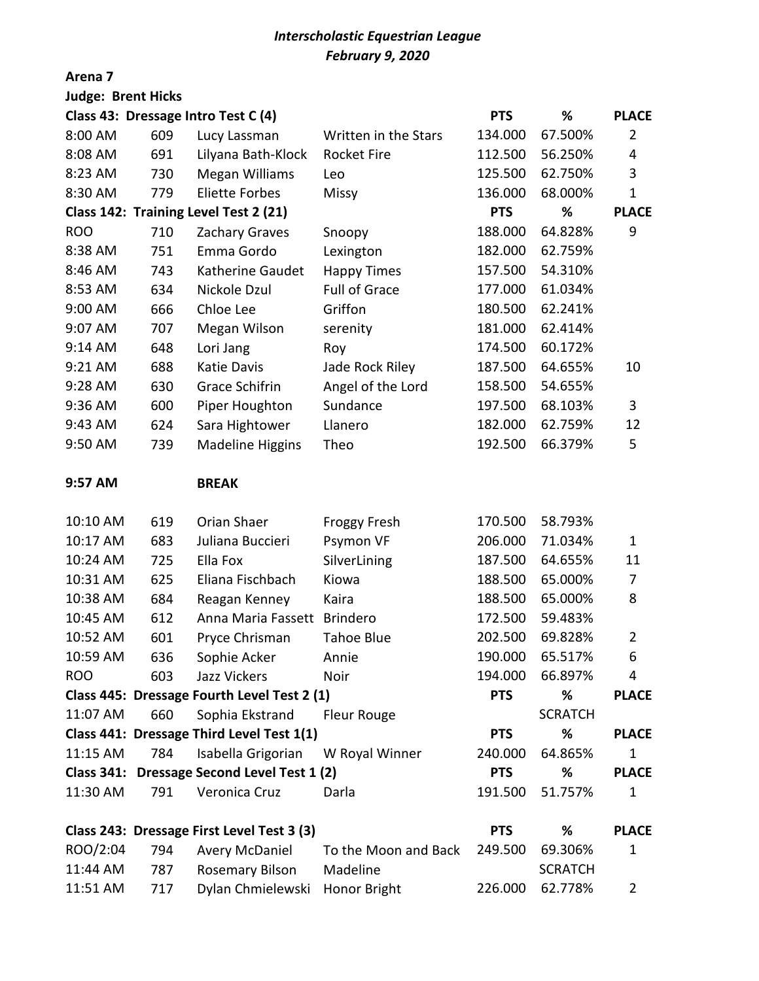# *Interscholastic Equestrian League February 9, 2020*

### **Arena 7**

| <b>Judge: Brent Hicks</b>                                      |     |                                            |                      |            |                |                |
|----------------------------------------------------------------|-----|--------------------------------------------|----------------------|------------|----------------|----------------|
|                                                                |     | Class 43: Dressage Intro Test C (4)        |                      | <b>PTS</b> | $\%$           | <b>PLACE</b>   |
| 8:00 AM                                                        | 609 | Lucy Lassman                               | Written in the Stars | 134.000    | 67.500%        | 2              |
| 8:08 AM                                                        | 691 | Lilyana Bath-Klock                         | <b>Rocket Fire</b>   | 112.500    | 56.250%        | 4              |
| 8:23 AM                                                        | 730 | <b>Megan Williams</b>                      | Leo                  | 125.500    | 62.750%        | 3              |
| 8:30 AM                                                        | 779 | <b>Eliette Forbes</b>                      | <b>Missy</b>         | 136.000    | 68.000%        | $\mathbf 1$    |
|                                                                |     | Class 142: Training Level Test 2 (21)      |                      | <b>PTS</b> | %              | <b>PLACE</b>   |
| <b>ROO</b>                                                     | 710 | Zachary Graves                             | Snoopy               | 188.000    | 64.828%        | 9              |
| 8:38 AM                                                        | 751 | Emma Gordo                                 | Lexington            | 182.000    | 62.759%        |                |
| 8:46 AM                                                        | 743 | Katherine Gaudet                           | <b>Happy Times</b>   | 157.500    | 54.310%        |                |
| 8:53 AM                                                        | 634 | Nickole Dzul                               | <b>Full of Grace</b> | 177.000    | 61.034%        |                |
| 9:00 AM                                                        | 666 | Chloe Lee                                  | Griffon              | 180.500    | 62.241%        |                |
| 9:07 AM                                                        | 707 | Megan Wilson                               | serenity             | 181.000    | 62.414%        |                |
| 9:14 AM                                                        | 648 | Lori Jang                                  | Roy                  | 174.500    | 60.172%        |                |
| 9:21 AM                                                        | 688 | Katie Davis                                | Jade Rock Riley      | 187.500    | 64.655%        | 10             |
| 9:28 AM                                                        | 630 | <b>Grace Schifrin</b>                      | Angel of the Lord    | 158.500    | 54.655%        |                |
| 9:36 AM                                                        | 600 | Piper Houghton                             | Sundance             | 197.500    | 68.103%        | 3              |
| 9:43 AM                                                        | 624 | Sara Hightower                             | Llanero              | 182.000    | 62.759%        | 12             |
| 9:50 AM                                                        | 739 | <b>Madeline Higgins</b>                    | Theo                 | 192.500    | 66.379%        | 5              |
| 9:57 AM                                                        |     | <b>BREAK</b>                               |                      |            |                |                |
| 10:10 AM                                                       | 619 | Orian Shaer                                | <b>Froggy Fresh</b>  | 170.500    | 58.793%        |                |
| 10:17 AM                                                       | 683 | Juliana Buccieri                           | Psymon VF            | 206.000    | 71.034%        | 1              |
| 10:24 AM                                                       | 725 | Ella Fox                                   | SilverLining         | 187.500    | 64.655%        | 11             |
| 10:31 AM                                                       | 625 | Eliana Fischbach                           | Kiowa                | 188.500    | 65.000%        | 7              |
| 10:38 AM                                                       | 684 | Reagan Kenney                              | Kaira                | 188.500    | 65.000%        | 8              |
| 10:45 AM                                                       | 612 | Anna Maria Fassett                         | <b>Brindero</b>      | 172.500    | 59.483%        |                |
| 10:52 AM                                                       | 601 | Pryce Chrisman                             | <b>Tahoe Blue</b>    | 202.500    | 69.828%        | 2              |
| 10:59 AM                                                       | 636 | Sophie Acker                               | Annie                | 190.000    | 65.517%        | 6              |
| <b>ROO</b>                                                     | 603 | <b>Jazz Vickers</b>                        | Noir                 | 194.000    | 66.897%        | 4              |
| Class 445: Dressage Fourth Level Test 2 (1)<br>%<br><b>PTS</b> |     |                                            |                      |            | <b>PLACE</b>   |                |
| 11:07 AM                                                       | 660 | Sophia Ekstrand                            | <b>Fleur Rouge</b>   |            | <b>SCRATCH</b> |                |
|                                                                |     | Class 441: Dressage Third Level Test 1(1)  |                      | <b>PTS</b> | %              | <b>PLACE</b>   |
| 11:15 AM                                                       | 784 | Isabella Grigorian                         | W Royal Winner       | 240.000    | 64.865%        | $\mathbf{1}$   |
| <b>Class 341:</b>                                              |     | Dressage Second Level Test 1 (2)           |                      | <b>PTS</b> | %              | <b>PLACE</b>   |
| 11:30 AM                                                       | 791 | Veronica Cruz                              | Darla                | 191.500    | 51.757%        | 1              |
|                                                                |     | Class 243: Dressage First Level Test 3 (3) |                      | <b>PTS</b> | %              | <b>PLACE</b>   |
| ROO/2:04                                                       | 794 | <b>Avery McDaniel</b>                      | To the Moon and Back | 249.500    | 69.306%        | $\mathbf 1$    |
| 11:44 AM                                                       | 787 | <b>Rosemary Bilson</b>                     | Madeline             |            | <b>SCRATCH</b> |                |
| 11:51 AM                                                       | 717 | Dylan Chmielewski                          | Honor Bright         | 226.000    | 62.778%        | $\overline{2}$ |